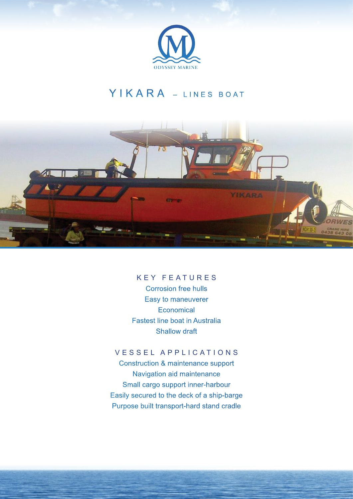

## YIKARA - LINES BOAT



## KEY FEATURES

Corrosion free hulls Easy to maneuverer **Economical** Fastest line boat in Australia Shallow draft

## VESSEL APPLICATIONS

Construction & maintenance support Navigation aid maintenance Small cargo support inner-harbour Easily secured to the deck of a ship-barge Purpose built transport-hard stand cradle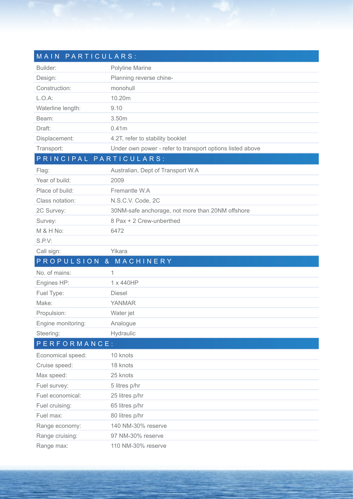| MAIN PARTICULARS:  |                                                           |
|--------------------|-----------------------------------------------------------|
| Builder:           | Polyline Marine                                           |
| Design:            | Planning reverse chine-                                   |
| Construction:      | monohull                                                  |
| $L.O.A$ :          | 10.20m                                                    |
| Waterline length:  | 9.10                                                      |
| Beam:              | 3.50m                                                     |
| Draft:             | 0.41m                                                     |
| Displacement:      | 4.2T, refer to stability booklet                          |
| Transport:         | Under own power - refer to transport options listed above |
|                    | PRINCIPAL PARTICULARS:                                    |
| Flag:              | Australian, Dept of Transport W.A                         |
| Year of build:     | 2009                                                      |
| Place of build:    | Fremantle W.A                                             |
| Class notation:    | N.S.C.V. Code, 2C                                         |
| 2C Survey:         | 30NM-safe anchorage, not more than 20NM offshore          |
| Survey:            | 8 Pax + 2 Crew-unberthed                                  |
| M & H No:          | 6472                                                      |
| S.P.V:             |                                                           |
| Call sign:         | Yikara                                                    |
| PROPULSION &       | MACHINERY                                                 |
| No. of mains:      | 1                                                         |
| Engines HP:        | 1 x 440HP                                                 |
| Fuel Type:         | <b>Diesel</b>                                             |
| Make:              | <b>YANMAR</b>                                             |
| Propulsion:        | Water jet                                                 |
| Engine monitoring: | Analogue                                                  |
| Steering:          | Hydraulic                                                 |
| PERFORMANCE:       |                                                           |
| Economical speed:  | 10 knots                                                  |
| Cruise speed:      | 18 knots                                                  |
| Max speed:         | 25 knots                                                  |
| Fuel survey:       | 5 litres p/hr                                             |
| Fuel economical:   | 25 litres p/hr                                            |
| Fuel cruising:     | 65 litres p/hr                                            |
| Fuel max:          | 80 litres p/hr                                            |
| Range economy:     | 140 NM-30% reserve                                        |
| Range cruising:    | 97 NM-30% reserve                                         |
| Range max:         | 110 NM-30% reserve                                        |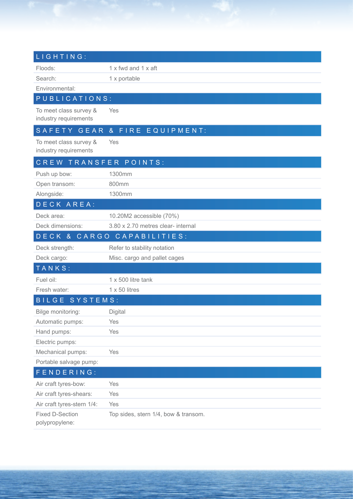| LIGHTING:                                       |                                      |  |
|-------------------------------------------------|--------------------------------------|--|
| Floods:                                         | $1 \times$ fwd and $1 \times$ aft    |  |
| Search:                                         | 1 x portable                         |  |
| Environmental:                                  |                                      |  |
| PUBLICATIONS:                                   |                                      |  |
| To meet class survey &<br>industry requirements | Yes                                  |  |
| SAFETY GEAR                                     | & FIRE EQUIPMENT:                    |  |
| To meet class survey &<br>industry requirements | Yes                                  |  |
| CREW TRANSFER POINTS:                           |                                      |  |
| Push up bow:                                    | 1300mm                               |  |
| Open transom:                                   | 800mm                                |  |
| Alongside:                                      | 1300mm                               |  |
| DECK AREA:                                      |                                      |  |
| Deck area:                                      | 10.20M2 accessible (70%)             |  |
| Deck dimensions:                                | 3.80 x 2.70 metres clear- internal   |  |
|                                                 | DECK & CARGO CAPABILITIES:           |  |
| Deck strength:                                  | Refer to stability notation          |  |
| Deck cargo:                                     | Misc. cargo and pallet cages         |  |
| TANKS:                                          |                                      |  |
| Fuel oil:                                       | 1 x 500 litre tank                   |  |
| Fresh water:                                    | $1 \times 50$ litres                 |  |
| BILGE SYSTEMS:                                  |                                      |  |
| Bilge monitoring:                               | Digital                              |  |
| Automatic pumps:                                | Yes                                  |  |
| Hand pumps:                                     | Yes                                  |  |
| Electric pumps:                                 |                                      |  |
| Mechanical pumps:                               | Yes                                  |  |
| Portable salvage pump:                          |                                      |  |
| FENDERING:                                      |                                      |  |
| Air craft tyres-bow:                            | Yes                                  |  |
| Air craft tyres-shears:                         | Yes                                  |  |
| Air craft tyres-stern 1/4:                      | Yes                                  |  |
| <b>Fixed D-Section</b><br>polypropylene:        | Top sides, stern 1/4, bow & transom. |  |